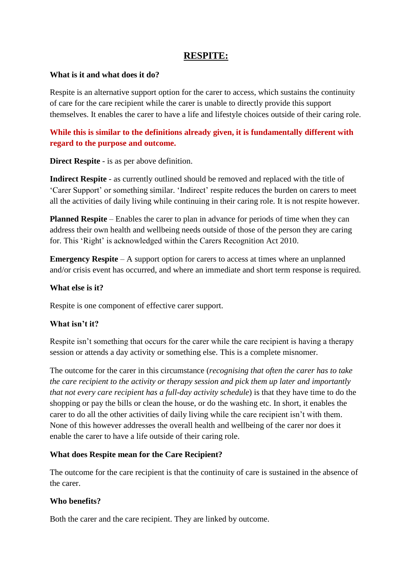# **RESPITE:**

### **What is it and what does it do?**

Respite is an alternative support option for the carer to access, which sustains the continuity of care for the care recipient while the carer is unable to directly provide this support themselves. It enables the carer to have a life and lifestyle choices outside of their caring role.

## **While this is similar to the definitions already given, it is fundamentally different with regard to the purpose and outcome.**

**Direct Respite** - is as per above definition.

**Indirect Respite** - as currently outlined should be removed and replaced with the title of 'Carer Support' or something similar. 'Indirect' respite reduces the burden on carers to meet all the activities of daily living while continuing in their caring role. It is not respite however.

**Planned Respite** – Enables the carer to plan in advance for periods of time when they can address their own health and wellbeing needs outside of those of the person they are caring for. This 'Right' is acknowledged within the Carers Recognition Act 2010.

**Emergency Respite** – A support option for carers to access at times where an unplanned and/or crisis event has occurred, and where an immediate and short term response is required.

#### **What else is it?**

Respite is one component of effective carer support.

## **What isn't it?**

Respite isn't something that occurs for the carer while the care recipient is having a therapy session or attends a day activity or something else. This is a complete misnomer.

The outcome for the carer in this circumstance (*recognising that often the carer has to take the care recipient to the activity or therapy session and pick them up later and importantly that not every care recipient has a full-day activity schedule*) is that they have time to do the shopping or pay the bills or clean the house, or do the washing etc. In short, it enables the carer to do all the other activities of daily living while the care recipient isn't with them. None of this however addresses the overall health and wellbeing of the carer nor does it enable the carer to have a life outside of their caring role.

## **What does Respite mean for the Care Recipient?**

The outcome for the care recipient is that the continuity of care is sustained in the absence of the carer.

#### **Who benefits?**

Both the carer and the care recipient. They are linked by outcome.